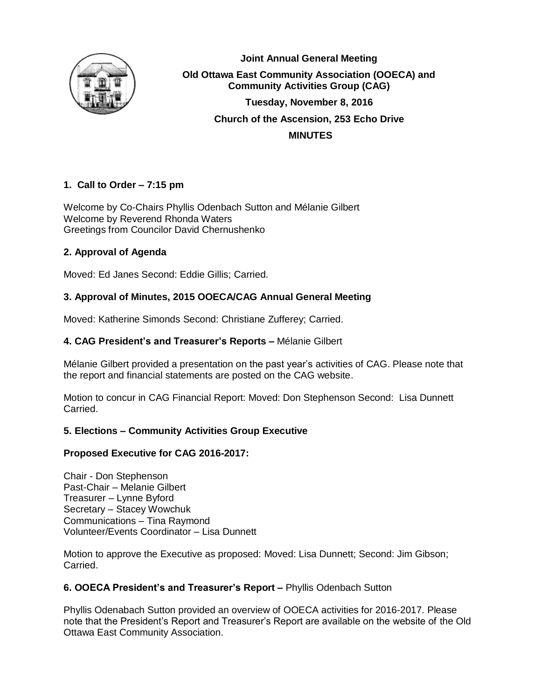

**Joint Annual General Meeting Old Ottawa East Community Association (OOECA) and Community Activities Group (CAG) Tuesday, November 8, 2016 Church of the Ascension, 253 Echo Drive MINUTES**

# **1. Call to Order – 7:15 pm**

Welcome by Co-Chairs Phyllis Odenbach Sutton and Mélanie Gilbert Welcome by Reverend Rhonda Waters Greetings from Councilor David Chernushenko

# **2. Approval of Agenda**

Moved: Ed Janes Second: Eddie Gillis; Carried.

# **3. Approval of Minutes, 2015 OOECA/CAG Annual General Meeting**

Moved: Katherine Simonds Second: Christiane Zufferey; Carried.

# **4. CAG President's and Treasurer's Reports –** Mélanie Gilbert

Mélanie Gilbert provided a presentation on the past year's activities of CAG. Please note that the report and financial statements are posted on the CAG website.

Motion to concur in CAG Financial Report: Moved: Don Stephenson Second: Lisa Dunnett Carried.

## **5. Elections – Community Activities Group Executive**

## **Proposed Executive for CAG 2016-2017:**

Chair - Don Stephenson Past-Chair – Melanie Gilbert Treasurer – Lynne Byford Secretary – Stacey Wowchuk Communications – Tina Raymond Volunteer/Events Coordinator – Lisa Dunnett

Motion to approve the Executive as proposed: Moved: Lisa Dunnett; Second: Jim Gibson; Carried.

## **6. OOECA President's and Treasurer's Report –** Phyllis Odenbach Sutton

Phyllis Odenabach Sutton provided an overview of OOECA activities for 2016-2017. Please note that the President's Report and Treasurer's Report are available on the website of the Old Ottawa East Community Association.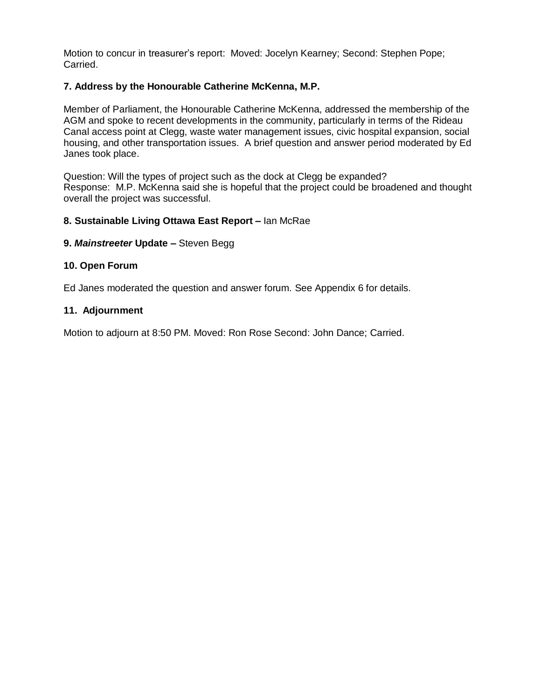Motion to concur in treasurer's report: Moved: Jocelyn Kearney; Second: Stephen Pope; Carried.

#### **7. Address by the Honourable Catherine McKenna, M.P.**

Member of Parliament, the Honourable Catherine McKenna, addressed the membership of the AGM and spoke to recent developments in the community, particularly in terms of the Rideau Canal access point at Clegg, waste water management issues, civic hospital expansion, social housing, and other transportation issues. A brief question and answer period moderated by Ed Janes took place.

Question: Will the types of project such as the dock at Clegg be expanded? Response: M.P. McKenna said she is hopeful that the project could be broadened and thought overall the project was successful.

#### **8. Sustainable Living Ottawa East Report –** Ian McRae

#### **9.** *Mainstreeter* **Update –** Steven Begg

#### **10. Open Forum**

Ed Janes moderated the question and answer forum. See Appendix 6 for details.

#### **11. Adjournment**

Motion to adjourn at 8:50 PM. Moved: Ron Rose Second: John Dance; Carried.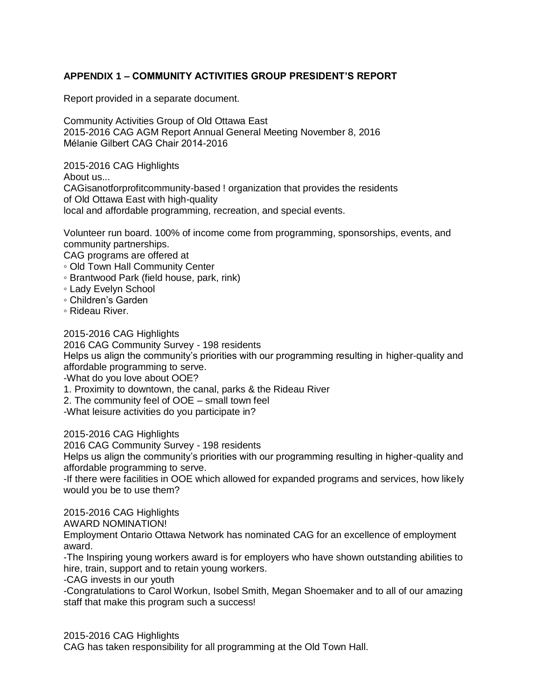# **APPENDIX 1 – COMMUNITY ACTIVITIES GROUP PRESIDENT'S REPORT**

Report provided in a separate document.

Community Activities Group of Old Ottawa East 2015-2016 CAG AGM Report Annual General Meeting November 8, 2016 Mélanie Gilbert CAG Chair 2014-2016

2015-2016 CAG Highlights

About us...

CAGisanotforprofitcommunity-based ! organization that provides the residents of Old Ottawa East with high-quality local and affordable programming, recreation, and special events.

Volunteer run board. 100% of income come from programming, sponsorships, events, and community partnerships.

CAG programs are offered at

- Old Town Hall Community Center
- Brantwood Park (field house, park, rink)
- Lady Evelyn School
- Children's Garden
- Rideau River.

2015-2016 CAG Highlights

2016 CAG Community Survey - 198 residents

Helps us align the community's priorities with our programming resulting in higher-quality and affordable programming to serve.

-What do you love about OOE?

1. Proximity to downtown, the canal, parks & the Rideau River

2. The community feel of OOE – small town feel

-What leisure activities do you participate in?

2015-2016 CAG Highlights

2016 CAG Community Survey - 198 residents

Helps us align the community's priorities with our programming resulting in higher-quality and affordable programming to serve.

-If there were facilities in OOE which allowed for expanded programs and services, how likely would you be to use them?

2015-2016 CAG Highlights

AWARD NOMINATION!

Employment Ontario Ottawa Network has nominated CAG for an excellence of employment award.

-The Inspiring young workers award is for employers who have shown outstanding abilities to hire, train, support and to retain young workers.

-CAG invests in our youth

-Congratulations to Carol Workun, Isobel Smith, Megan Shoemaker and to all of our amazing staff that make this program such a success!

2015-2016 CAG Highlights

CAG has taken responsibility for all programming at the Old Town Hall.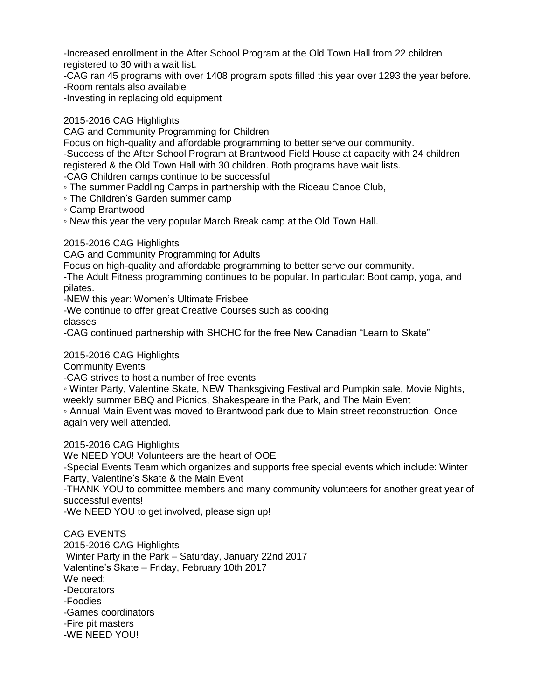-Increased enrollment in the After School Program at the Old Town Hall from 22 children registered to 30 with a wait list.

-CAG ran 45 programs with over 1408 program spots filled this year over 1293 the year before. -Room rentals also available

-Investing in replacing old equipment

# 2015-2016 CAG Highlights

CAG and Community Programming for Children

Focus on high-quality and affordable programming to better serve our community. -Success of the After School Program at Brantwood Field House at capacity with 24 children registered & the Old Town Hall with 30 children. Both programs have wait lists.

-CAG Children camps continue to be successful

◦ The summer Paddling Camps in partnership with the Rideau Canoe Club,

◦ The Children's Garden summer camp

◦ Camp Brantwood

◦ New this year the very popular March Break camp at the Old Town Hall.

2015-2016 CAG Highlights

CAG and Community Programming for Adults

Focus on high-quality and affordable programming to better serve our community.

-The Adult Fitness programming continues to be popular. In particular: Boot camp, yoga, and pilates.

-NEW this year: Women's Ultimate Frisbee

-We continue to offer great Creative Courses such as cooking

classes

-CAG continued partnership with SHCHC for the free New Canadian "Learn to Skate"

#### 2015-2016 CAG Highlights

Community Events

-CAG strives to host a number of free events

◦ Winter Party, Valentine Skate, NEW Thanksgiving Festival and Pumpkin sale, Movie Nights, weekly summer BBQ and Picnics, Shakespeare in the Park, and The Main Event

◦ Annual Main Event was moved to Brantwood park due to Main street reconstruction. Once again very well attended.

2015-2016 CAG Highlights

We NEED YOU! Volunteers are the heart of OOE

-Special Events Team which organizes and supports free special events which include: Winter Party, Valentine's Skate & the Main Event

-THANK YOU to committee members and many community volunteers for another great year of successful events!

-We NEED YOU to get involved, please sign up!

CAG EVENTS 2015-2016 CAG Highlights Winter Party in the Park – Saturday, January 22nd 2017 Valentine's Skate – Friday, February 10th 2017 We need: -Decorators -Foodies -Games coordinators -Fire pit masters -WE NEED YOU!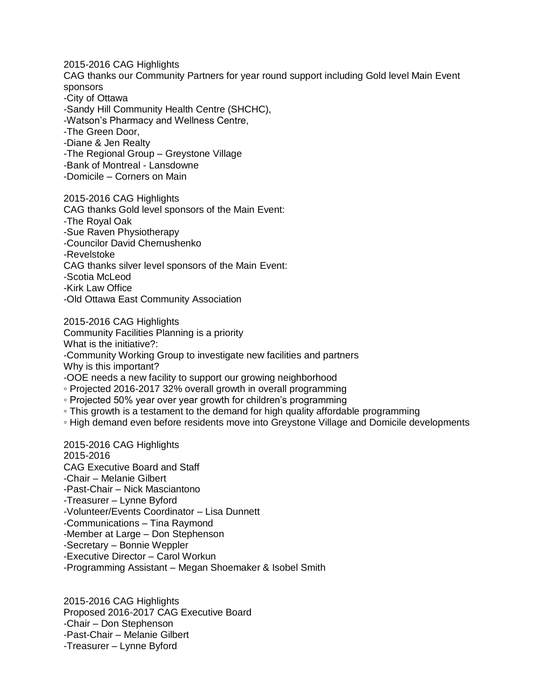2015-2016 CAG Highlights CAG thanks our Community Partners for year round support including Gold level Main Event sponsors -City of Ottawa -Sandy Hill Community Health Centre (SHCHC), -Watson's Pharmacy and Wellness Centre, -The Green Door,

-Diane & Jen Realty

-The Regional Group – Greystone Village

-Bank of Montreal - Lansdowne

-Domicile – Corners on Main

2015-2016 CAG Highlights CAG thanks Gold level sponsors of the Main Event: -The Royal Oak -Sue Raven Physiotherapy -Councilor David Chernushenko -Revelstoke CAG thanks silver level sponsors of the Main Event: -Scotia McLeod -Kirk Law Office -Old Ottawa East Community Association

2015-2016 CAG Highlights Community Facilities Planning is a priority What is the initiative?: -Community Working Group to investigate new facilities and partners Why is this important? -OOE needs a new facility to support our growing neighborhood ◦ Projected 2016-2017 32% overall growth in overall programming

◦ Projected 50% year over year growth for children's programming

◦ This growth is a testament to the demand for high quality affordable programming

◦ High demand even before residents move into Greystone Village and Domicile developments

2015-2016 CAG Highlights 2015-2016 CAG Executive Board and Staff -Chair – Melanie Gilbert -Past-Chair – Nick Masciantono -Treasurer – Lynne Byford -Volunteer/Events Coordinator – Lisa Dunnett -Communications – Tina Raymond -Member at Large – Don Stephenson -Secretary – Bonnie Weppler -Executive Director – Carol Workun -Programming Assistant – Megan Shoemaker & Isobel Smith

2015-2016 CAG Highlights Proposed 2016-2017 CAG Executive Board -Chair – Don Stephenson -Past-Chair – Melanie Gilbert -Treasurer – Lynne Byford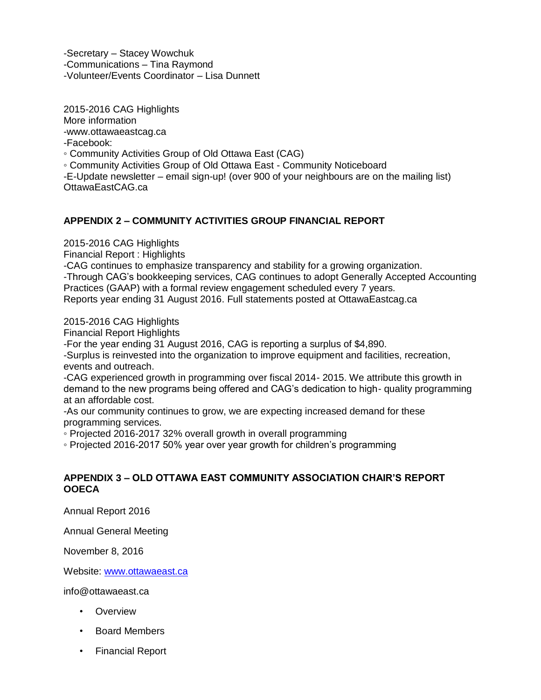-Secretary – Stacey Wowchuk -Communications – Tina Raymond -Volunteer/Events Coordinator – Lisa Dunnett

2015-2016 CAG Highlights More information -www.ottawaeastcag.ca -Facebook: ◦ Community Activities Group of Old Ottawa East (CAG) ◦ Community Activities Group of Old Ottawa East - Community Noticeboard -E-Update newsletter – email sign-up! (over 900 of your neighbours are on the mailing list)

# **APPENDIX 2 – COMMUNITY ACTIVITIES GROUP FINANCIAL REPORT**

2015-2016 CAG Highlights

OttawaEastCAG.ca

Financial Report : Highlights

-CAG continues to emphasize transparency and stability for a growing organization. -Through CAG's bookkeeping services, CAG continues to adopt Generally Accepted Accounting Practices (GAAP) with a formal review engagement scheduled every 7 years. Reports year ending 31 August 2016. Full statements posted at OttawaEastcag.ca

2015-2016 CAG Highlights

Financial Report Highlights

-For the year ending 31 August 2016, CAG is reporting a surplus of \$4,890.

-Surplus is reinvested into the organization to improve equipment and facilities, recreation, events and outreach.

-CAG experienced growth in programming over fiscal 2014- 2015. We attribute this growth in demand to the new programs being offered and CAG's dedication to high- quality programming at an affordable cost.

-As our community continues to grow, we are expecting increased demand for these programming services.

◦ Projected 2016-2017 32% overall growth in overall programming

◦ Projected 2016-2017 50% year over year growth for children's programming

## **APPENDIX 3 – OLD OTTAWA EAST COMMUNITY ASSOCIATION CHAIR'S REPORT OOECA**

Annual Report 2016

Annual General Meeting

November 8, 2016

Website: [www.ottawaeast.ca](http://www.ottawaeast.ca/)

info@ottawaeast.ca

- Overview
- Board Members
- Financial Report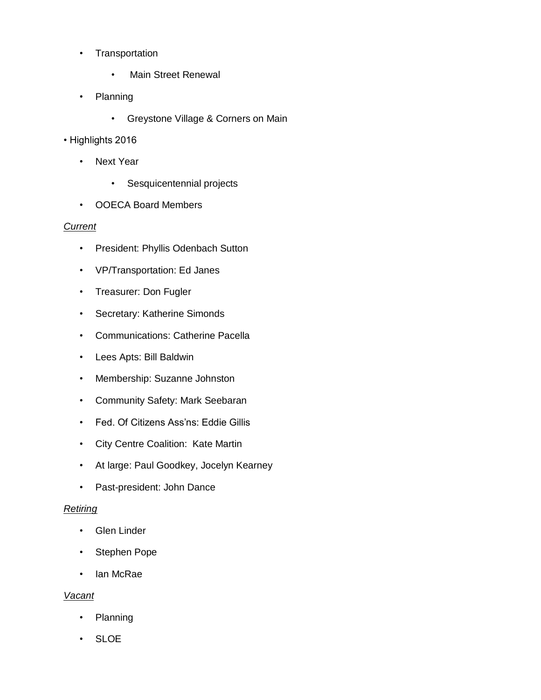- Transportation
	- Main Street Renewal
- Planning
	- Greystone Village & Corners on Main

## • Highlights 2016

- Next Year
	- Sesquicentennial projects
- OOECA Board Members

## *Current*

- President: Phyllis Odenbach Sutton
- VP/Transportation: Ed Janes
- Treasurer: Don Fugler
- Secretary: Katherine Simonds
- Communications: Catherine Pacella
- Lees Apts: Bill Baldwin
- Membership: Suzanne Johnston
- Community Safety: Mark Seebaran
- Fed. Of Citizens Ass'ns: Eddie Gillis
- City Centre Coalition: Kate Martin
- At large: Paul Goodkey, Jocelyn Kearney
- Past-president: John Dance

## *Retiring*

- Glen Linder
- Stephen Pope
- Ian McRae

## *Vacant*

- Planning
- SLOE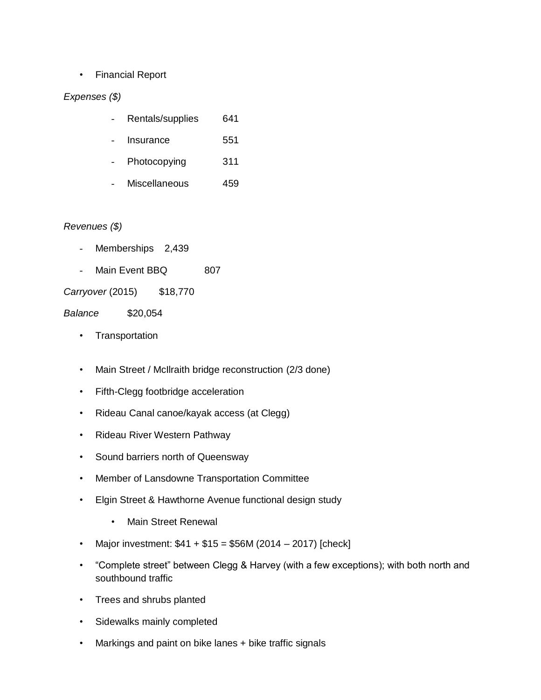# • Financial Report

## *Expenses (\$)*

|  | Rentals/supplies | 641 |
|--|------------------|-----|
|--|------------------|-----|

- Insurance 551
- Photocopying 311
- Miscellaneous 459

## *Revenues (\$)*

- Memberships 2,439
- Main Event BBQ 807

*Carryover* (2015) \$18,770

*Balance* \$20,054

- Transportation
- Main Street / McIlraith bridge reconstruction (2/3 done)
- Fifth-Clegg footbridge acceleration
- Rideau Canal canoe/kayak access (at Clegg)
- Rideau River Western Pathway
- Sound barriers north of Queensway
- Member of Lansdowne Transportation Committee
- Elgin Street & Hawthorne Avenue functional design study
	- Main Street Renewal
- Major investment:  $$41 + $15 = $56M (2014 2017)$  [check]
- "Complete street" between Clegg & Harvey (with a few exceptions); with both north and southbound traffic
- Trees and shrubs planted
- Sidewalks mainly completed
- Markings and paint on bike lanes + bike traffic signals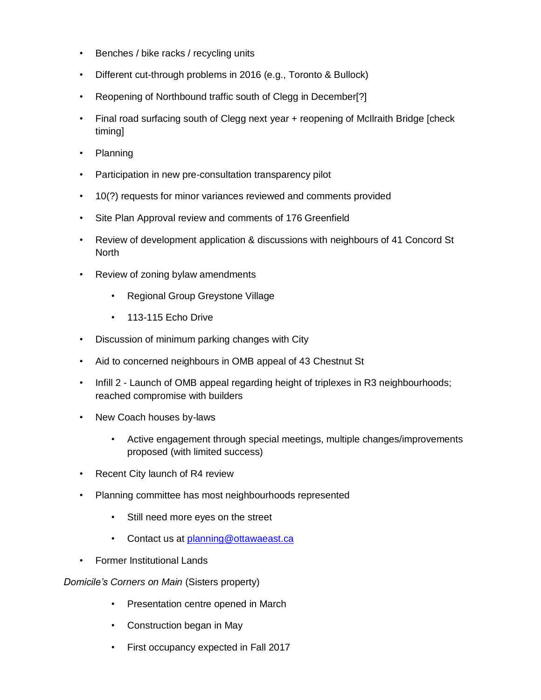- Benches / bike racks / recycling units
- Different cut-through problems in 2016 (e.g., Toronto & Bullock)
- Reopening of Northbound traffic south of Clegg in December[?]
- Final road surfacing south of Clegg next year + reopening of McIlraith Bridge [check timing]
- Planning
- Participation in new pre-consultation transparency pilot
- 10(?) requests for minor variances reviewed and comments provided
- Site Plan Approval review and comments of 176 Greenfield
- Review of development application & discussions with neighbours of 41 Concord St **North**
- Review of zoning bylaw amendments
	- Regional Group Greystone Village
	- 113-115 Fcho Drive
- Discussion of minimum parking changes with City
- Aid to concerned neighbours in OMB appeal of 43 Chestnut St
- Infill 2 Launch of OMB appeal regarding height of triplexes in R3 neighbourhoods; reached compromise with builders
- New Coach houses by-laws
	- Active engagement through special meetings, multiple changes/improvements proposed (with limited success)
- Recent City launch of R4 review
- Planning committee has most neighbourhoods represented
	- Still need more eyes on the street
	- Contact us at planning@ottawaeast.ca
- Former Institutional Lands

*Domicile's Corners on Main* (Sisters property)

- Presentation centre opened in March
- Construction began in May
- First occupancy expected in Fall 2017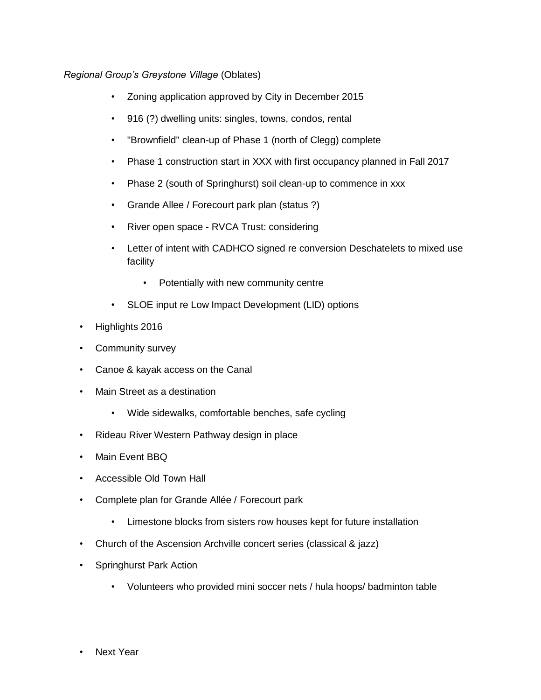# *Regional Group's Greystone Village* (Oblates)

- Zoning application approved by City in December 2015
- 916 (?) dwelling units: singles, towns, condos, rental
- "Brownfield" clean-up of Phase 1 (north of Clegg) complete
- Phase 1 construction start in XXX with first occupancy planned in Fall 2017
- Phase 2 (south of Springhurst) soil clean-up to commence in xxx
- Grande Allee / Forecourt park plan (status ?)
- River open space RVCA Trust: considering
- Letter of intent with CADHCO signed re conversion Deschatelets to mixed use facility
	- Potentially with new community centre
- SLOE input re Low Impact Development (LID) options
- Highlights 2016
- Community survey
- Canoe & kayak access on the Canal
- Main Street as a destination
	- Wide sidewalks, comfortable benches, safe cycling
- Rideau River Western Pathway design in place
- Main Event BBQ
- Accessible Old Town Hall
- Complete plan for Grande Allée / Forecourt park
	- Limestone blocks from sisters row houses kept for future installation
- Church of the Ascension Archville concert series (classical & jazz)
- Springhurst Park Action
	- Volunteers who provided mini soccer nets / hula hoops/ badminton table
- **Next Year**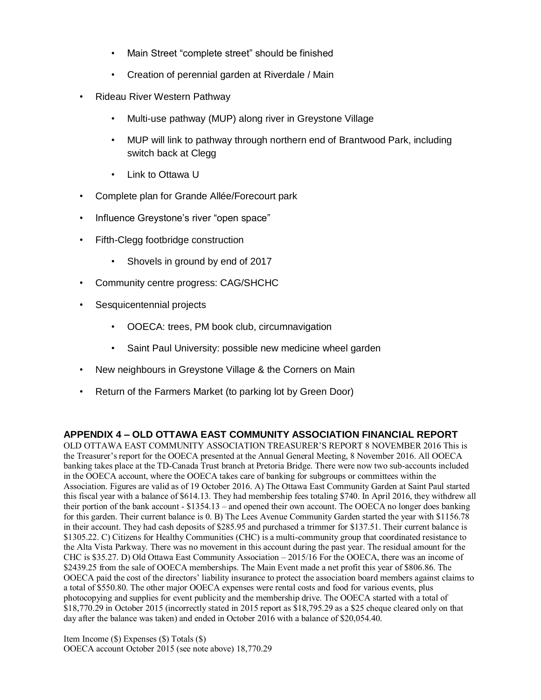- Main Street "complete street" should be finished
- Creation of perennial garden at Riverdale / Main
- Rideau River Western Pathway
	- Multi-use pathway (MUP) along river in Greystone Village
	- MUP will link to pathway through northern end of Brantwood Park, including switch back at Clegg
	- Link to Ottawa U
- Complete plan for Grande Allée/Forecourt park
- Influence Greystone's river "open space"
- Fifth-Clegg footbridge construction
	- Shovels in ground by end of 2017
- Community centre progress: CAG/SHCHC
- Sesquicentennial projects
	- OOECA: trees, PM book club, circumnavigation
	- Saint Paul University: possible new medicine wheel garden
- New neighbours in Greystone Village & the Corners on Main
- Return of the Farmers Market (to parking lot by Green Door)

## **APPENDIX 4 – OLD OTTAWA EAST COMMUNITY ASSOCIATION FINANCIAL REPORT**

OLD OTTAWA EAST COMMUNITY ASSOCIATION TREASURER'S REPORT 8 NOVEMBER 2016 This is the Treasurer's report for the OOECA presented at the Annual General Meeting, 8 November 2016. All OOECA banking takes place at the TD-Canada Trust branch at Pretoria Bridge. There were now two sub-accounts included in the OOECA account, where the OOECA takes care of banking for subgroups or committees within the Association. Figures are valid as of 19 October 2016. A) The Ottawa East Community Garden at Saint Paul started this fiscal year with a balance of \$614.13. They had membership fees totaling \$740. In April 2016, they withdrew all their portion of the bank account - \$1354.13 – and opened their own account. The OOECA no longer does banking for this garden. Their current balance is 0. B) The Lees Avenue Community Garden started the year with \$1156.78 in their account. They had cash deposits of \$285.95 and purchased a trimmer for \$137.51. Their current balance is \$1305.22. C) Citizens for Healthy Communities (CHC) is a multi-community group that coordinated resistance to the Alta Vista Parkway. There was no movement in this account during the past year. The residual amount for the CHC is \$35.27. D) Old Ottawa East Community Association – 2015/16 For the OOECA, there was an income of \$2439.25 from the sale of OOECA memberships. The Main Event made a net profit this year of \$806.86. The OOECA paid the cost of the directors' liability insurance to protect the association board members against claims to a total of \$550.80. The other major OOECA expenses were rental costs and food for various events, plus photocopying and supplies for event publicity and the membership drive. The OOECA started with a total of \$18,770.29 in October 2015 (incorrectly stated in 2015 report as \$18,795.29 as a \$25 cheque cleared only on that day after the balance was taken) and ended in October 2016 with a balance of \$20,054.40.

Item Income (\$) Expenses (\$) Totals (\$) OOECA account October 2015 (see note above) 18,770.29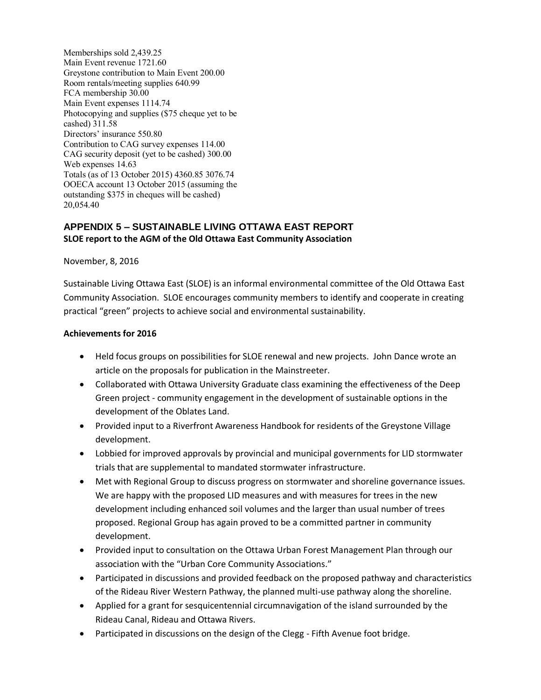Memberships sold 2,439.25 Main Event revenue 1721.60 Greystone contribution to Main Event 200.00 Room rentals/meeting supplies 640.99 FCA membership 30.00 Main Event expenses 1114.74 Photocopying and supplies (\$75 cheque yet to be cashed) 311.58 Directors' insurance 550.80 Contribution to CAG survey expenses 114.00 CAG security deposit (yet to be cashed) 300.00 Web expenses 14.63 Totals (as of 13 October 2015) 4360.85 3076.74 OOECA account 13 October 2015 (assuming the outstanding \$375 in cheques will be cashed) 20,054.40

## **APPENDIX 5 – SUSTAINABLE LIVING OTTAWA EAST REPORT SLOE report to the AGM of the Old Ottawa East Community Association**

November, 8, 2016

Sustainable Living Ottawa East (SLOE) is an informal environmental committee of the Old Ottawa East Community Association. SLOE encourages community members to identify and cooperate in creating practical "green" projects to achieve social and environmental sustainability.

#### **Achievements for 2016**

- Held focus groups on possibilities for SLOE renewal and new projects. John Dance wrote an article on the proposals for publication in the Mainstreeter.
- Collaborated with Ottawa University Graduate class examining the effectiveness of the Deep Green project - community engagement in the development of sustainable options in the development of the Oblates Land.
- Provided input to a Riverfront Awareness Handbook for residents of the Greystone Village development.
- Lobbied for improved approvals by provincial and municipal governments for LID stormwater trials that are supplemental to mandated stormwater infrastructure.
- Met with Regional Group to discuss progress on stormwater and shoreline governance issues. We are happy with the proposed LID measures and with measures for trees in the new development including enhanced soil volumes and the larger than usual number of trees proposed. Regional Group has again proved to be a committed partner in community development.
- Provided input to consultation on the Ottawa Urban Forest Management Plan through our association with the "Urban Core Community Associations."
- Participated in discussions and provided feedback on the proposed pathway and characteristics of the Rideau River Western Pathway, the planned multi-use pathway along the shoreline.
- Applied for a grant for sesquicentennial circumnavigation of the island surrounded by the Rideau Canal, Rideau and Ottawa Rivers.
- Participated in discussions on the design of the Clegg Fifth Avenue foot bridge.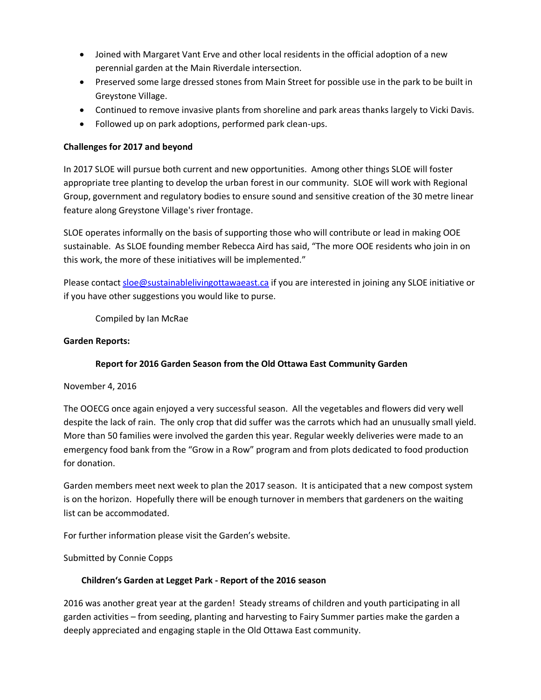- Joined with Margaret Vant Erve and other local residents in the official adoption of a new perennial garden at the Main Riverdale intersection.
- Preserved some large dressed stones from Main Street for possible use in the park to be built in Greystone Village.
- Continued to remove invasive plants from shoreline and park areas thanks largely to Vicki Davis.
- Followed up on park adoptions, performed park clean-ups.

#### **Challenges for 2017 and beyond**

In 2017 SLOE will pursue both current and new opportunities. Among other things SLOE will foster appropriate tree planting to develop the urban forest in our community. SLOE will work with Regional Group, government and regulatory bodies to ensure sound and sensitive creation of the 30 metre linear feature along Greystone Village's river frontage.

SLOE operates informally on the basis of supporting those who will contribute or lead in making OOE sustainable. As SLOE founding member Rebecca Aird has said, "The more OOE residents who join in on this work, the more of these initiatives will be implemented."

Please contact [sloe@sustainablelivingottawaeast.ca](mailto:sloe@sustainablelivingottawaeast.ca) if you are interested in joining any SLOE initiative or if you have other suggestions you would like to purse.

Compiled by Ian McRae

#### **Garden Reports:**

## **Report for 2016 Garden Season from the Old Ottawa East Community Garden**

November 4, 2016

The OOECG once again enjoyed a very successful season. All the vegetables and flowers did very well despite the lack of rain. The only crop that did suffer was the carrots which had an unusually small yield. More than 50 families were involved the garden this year. Regular weekly deliveries were made to an emergency food bank from the "Grow in a Row" program and from plots dedicated to food production for donation.

Garden members meet next week to plan the 2017 season. It is anticipated that a new compost system is on the horizon. Hopefully there will be enough turnover in members that gardeners on the waiting list can be accommodated.

For further information please visit the Garden's website.

Submitted by Connie Copps

## **Children's Garden at Legget Park - Report of the 2016 season**

2016 was another great year at the garden! Steady streams of children and youth participating in all garden activities – from seeding, planting and harvesting to Fairy Summer parties make the garden a deeply appreciated and engaging staple in the Old Ottawa East community.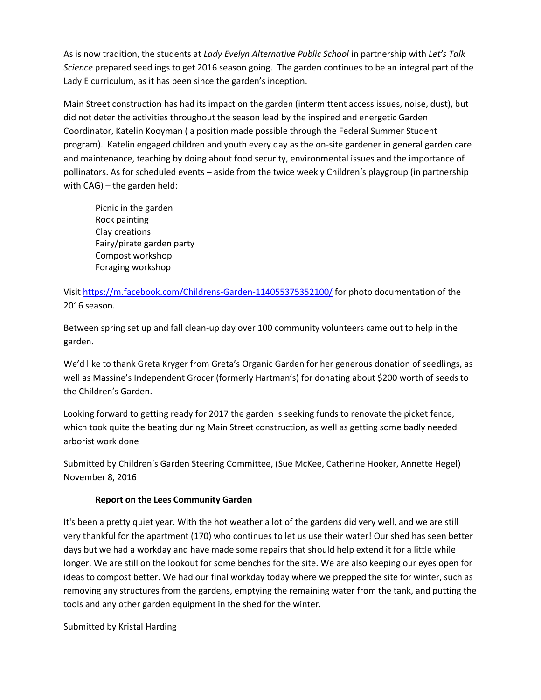As is now tradition, the students at *Lady Evelyn Alternative Public School* in partnership with *Let's Talk Science* prepared seedlings to get 2016 season going. The garden continues to be an integral part of the Lady E curriculum, as it has been since the garden's inception.

Main Street construction has had its impact on the garden (intermittent access issues, noise, dust), but did not deter the activities throughout the season lead by the inspired and energetic Garden Coordinator, Katelin Kooyman ( a position made possible through the Federal Summer Student program). Katelin engaged children and youth every day as the on-site gardener in general garden care and maintenance, teaching by doing about food security, environmental issues and the importance of pollinators. As for scheduled events – aside from the twice weekly Children's playgroup (in partnership with CAG) – the garden held:

Picnic in the garden Rock painting Clay creations Fairy/pirate garden party Compost workshop Foraging workshop

Visit<https://m.facebook.com/Childrens-Garden-114055375352100/> for photo documentation of the 2016 season.

Between spring set up and fall clean-up day over 100 community volunteers came out to help in the garden.

We'd like to thank Greta Kryger from Greta's Organic Garden for her generous donation of seedlings, as well as Massine's Independent Grocer (formerly Hartman's) for donating about \$200 worth of seeds to the Children's Garden.

Looking forward to getting ready for 2017 the garden is seeking funds to renovate the picket fence, which took quite the beating during Main Street construction, as well as getting some badly needed arborist work done

Submitted by Children's Garden Steering Committee, (Sue McKee, Catherine Hooker, Annette Hegel) November 8, 2016

## **Report on the Lees Community Garden**

It's been a pretty quiet year. With the hot weather a lot of the gardens did very well, and we are still very thankful for the apartment (170) who continues to let us use their water! Our shed has seen better days but we had a workday and have made some repairs that should help extend it for a little while longer. We are still on the lookout for some benches for the site. We are also keeping our eyes open for ideas to compost better. We had our final workday today where we prepped the site for winter, such as removing any structures from the gardens, emptying the remaining water from the tank, and putting the tools and any other garden equipment in the shed for the winter.

Submitted by Kristal Harding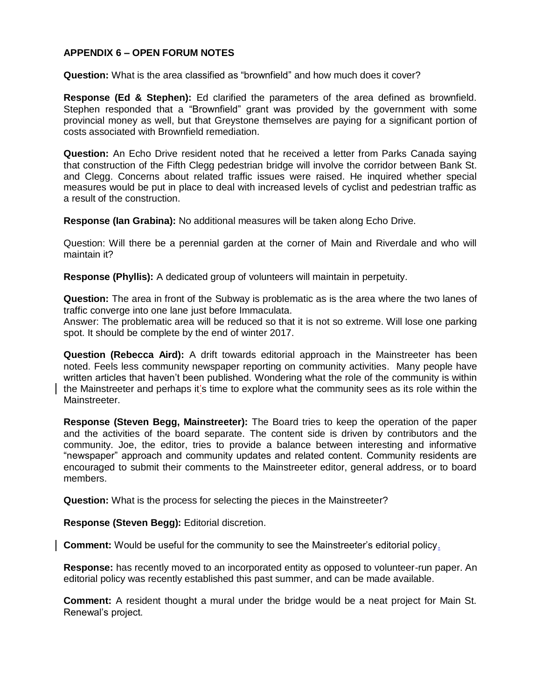#### **APPENDIX 6 – OPEN FORUM NOTES**

**Question:** What is the area classified as "brownfield" and how much does it cover?

**Response (Ed & Stephen):** Ed clarified the parameters of the area defined as brownfield. Stephen responded that a "Brownfield" grant was provided by the government with some provincial money as well, but that Greystone themselves are paying for a significant portion of costs associated with Brownfield remediation.

**Question:** An Echo Drive resident noted that he received a letter from Parks Canada saying that construction of the Fifth Clegg pedestrian bridge will involve the corridor between Bank St. and Clegg. Concerns about related traffic issues were raised. He inquired whether special measures would be put in place to deal with increased levels of cyclist and pedestrian traffic as a result of the construction.

**Response (Ian Grabina):** No additional measures will be taken along Echo Drive.

Question: Will there be a perennial garden at the corner of Main and Riverdale and who will maintain it?

**Response (Phyllis):** A dedicated group of volunteers will maintain in perpetuity.

**Question:** The area in front of the Subway is problematic as is the area where the two lanes of traffic converge into one lane just before Immaculata.

Answer: The problematic area will be reduced so that it is not so extreme. Will lose one parking spot. It should be complete by the end of winter 2017.

**Question (Rebecca Aird):** A drift towards editorial approach in the Mainstreeter has been noted. Feels less community newspaper reporting on community activities. Many people have written articles that haven't been published. Wondering what the role of the community is within the Mainstreeter and perhaps it's time to explore what the community sees as its role within the Mainstreeter.

**Response (Steven Begg, Mainstreeter):** The Board tries to keep the operation of the paper and the activities of the board separate. The content side is driven by contributors and the community. Joe, the editor, tries to provide a balance between interesting and informative "newspaper" approach and community updates and related content. Community residents are encouraged to submit their comments to the Mainstreeter editor, general address, or to board members.

**Question:** What is the process for selecting the pieces in the Mainstreeter?

**Response (Steven Begg):** Editorial discretion.

**Comment:** Would be useful for the community to see the Mainstreeter's editorial policy.

**Response:** has recently moved to an incorporated entity as opposed to volunteer-run paper. An editorial policy was recently established this past summer, and can be made available.

**Comment:** A resident thought a mural under the bridge would be a neat project for Main St. Renewal's project.